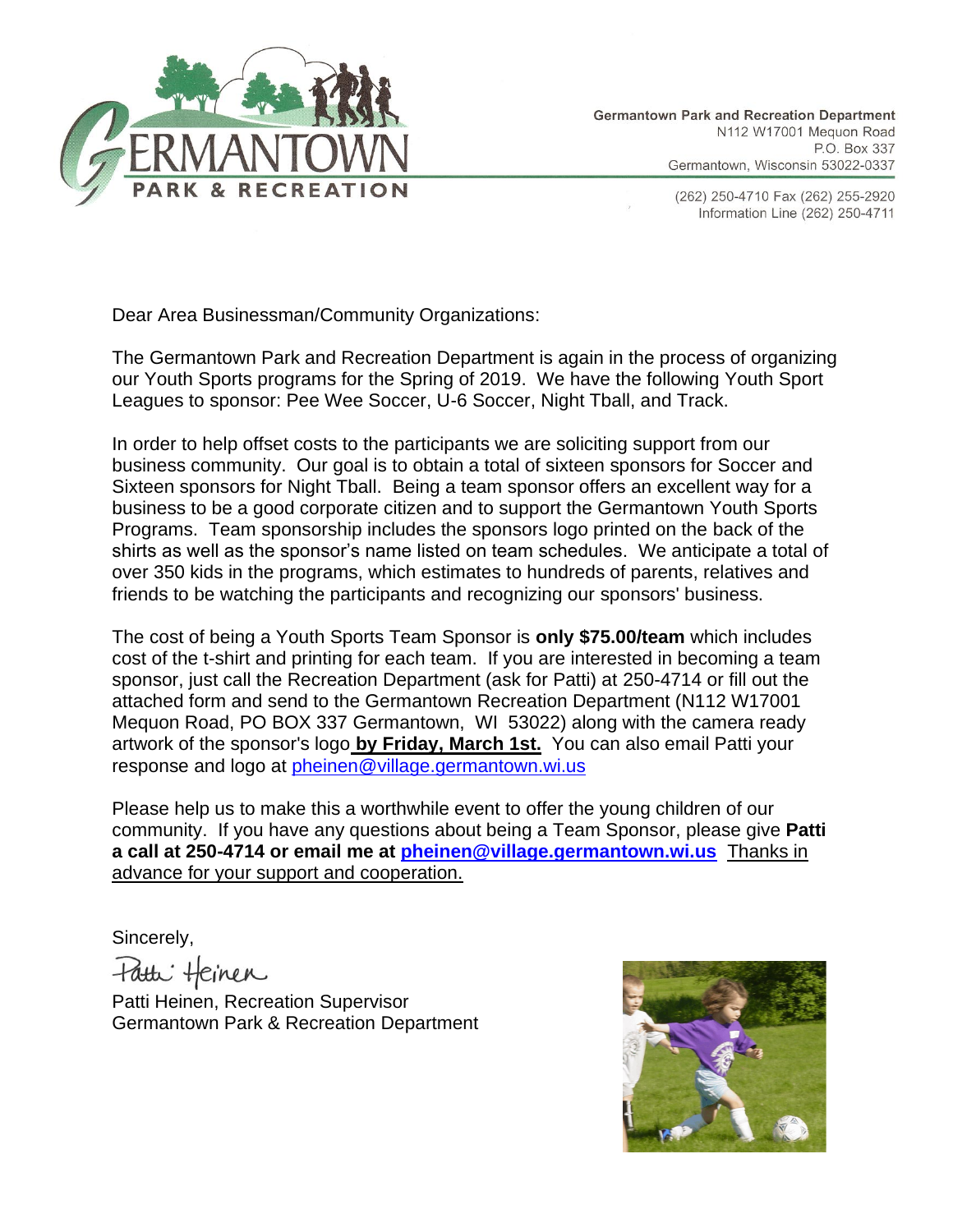

(262) 250-4710 Fax (262) 255-2920 Information Line (262) 250-4711

Dear Area Businessman/Community Organizations:

The Germantown Park and Recreation Department is again in the process of organizing our Youth Sports programs for the Spring of 2019. We have the following Youth Sport Leagues to sponsor: Pee Wee Soccer, U-6 Soccer, Night Tball, and Track.

In order to help offset costs to the participants we are soliciting support from our business community. Our goal is to obtain a total of sixteen sponsors for Soccer and Sixteen sponsors for Night Tball. Being a team sponsor offers an excellent way for a business to be a good corporate citizen and to support the Germantown Youth Sports Programs. Team sponsorship includes the sponsors logo printed on the back of the shirts as well as the sponsor's name listed on team schedules. We anticipate a total of over 350 kids in the programs, which estimates to hundreds of parents, relatives and friends to be watching the participants and recognizing our sponsors' business.

The cost of being a Youth Sports Team Sponsor is **only \$75.00/team** which includes cost of the t-shirt and printing for each team. If you are interested in becoming a team sponsor, just call the Recreation Department (ask for Patti) at 250-4714 or fill out the attached form and send to the Germantown Recreation Department (N112 W17001 Mequon Road, PO BOX 337 Germantown, WI 53022) along with the camera ready artwork of the sponsor's logo **by Friday, March 1st.** You can also email Patti your response and logo at [pheinen@village.germantown.wi.us](mailto:pwilke@village.germantown.wi.us)

Please help us to make this a worthwhile event to offer the young children of our community. If you have any questions about being a Team Sponsor, please give **Patti a call at 250-4714 or email me at [pheinen@village.germantown.wi.us](mailto:pheinen@village.germantown.wi.us)** Thanks in advance for your support and cooperation.

Sincerely,

Patti Heinen

Patti Heinen, Recreation Supervisor Germantown Park & Recreation Department